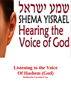# שמע ישראל SHEMA YISRAEL Hearing the **Voice of God**

**Listening to the Voice Of Hashem (God) Rebbetzin Gavriela Frye**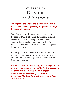## **CHAPTER 7 -** Dreams and Visions

#### **Throughout the Bible, there are many examples of Hashem (God) speaking to people through dreams and visions.**

One of the most well-known instances occurs in the book of Daniel. The Lord gave dreams to King Nebuchadnezzar in his sleep. He then provided Daniel with the wisdom to interpret the king's dreams, delivering a message that would change the lives of both men.

Acts chapter 10 also records a great example of a vision. Peter went up to the rooftop to pray, and while he was praying, the Lord spoke to him through this vision:

*And he saw the sky opened up, and an object like a great sheet descending, lowered by its four corners to the earth, and it contained all kinds of fourfooted animals and crawling creatures of the earth and birds of the air. A voice came to him, (Acts 10:11-13).*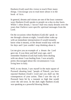Hashem (God) used this vision to teach Peter many things. I encourage you to read more about it in the book of Acts.

In general, dreams and visions are one of the least common ways Hashem (God) speaks to people on a day-to-day basis. While I often dream, I haven't had very many dreams over the years that I believe were specific spiritual messages from the Lord.

On the occasions when Hashem (God) did speak to me through a dream at night, I would either wake up with an immediate interpretation (I would instantly know what it meant), or the dream would stay with me for days and I just couldn't stop thinking about it.

Let me give you an example of a dream the Lord gave me. It was three and half years ago, and I remember Hashem (God) had really been dealing with me about I was healing from. I was actually pretty discouraged about the circumstances I was living here in Italy.

Well, in my dream, I saw myself in the main square of Pozzuoli shouting loud: "people of Puteoli, you have rejected Hashem (God)'s word and you shall see the consequences of your action. Then I saw the city of Pozzuoli been hit by a tsunami so high that would cover the old town. In the dark night Hashem (God) was speaking as a powerful blowing Shofar.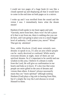I could see two pages of a huge book (it was like a cloud) opened up and displaying all that it would have to come in the end time on both pages as in a mirror.

I woke up and I was terrified from the sound and the vision I saw. I immediately knew what the dream meant!

Hashem (God) spoke to my heart again and said, "Gavriela, move from here, there won't be left a piece of it that is not from me, there is nothing else you can do here, and I am going to place you to a much bigger level of authority. I will protect you, move!" Wow! That got my attention!

Now, while Hashem (God) most certainly uses dreams to speak to us, it's also an area where people can be easily deceived or confused. While nearly everyone dreams at night, most of them are not spiritual dreams. So it's important to be careful and use wisdom in this area. I believe if a dream is really from the Lord, He will give us confirmation in our hearts and help us to know. It's also true that some people are more gifted in the area of dreams and visions than others. It doesn't always necessarily mean they are "more spiritual" although seeking Hashem (God) plays a big role in hearing from Him, but it's simply the way the Lord chooses to reveal Himself to them.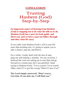### **CONCLUSION**

## Trusting Hashem (God) Step-by-Step

**An important aspect of hearing from Hashem (God) is stepping out to do what He tells us to do. Hashem (***God)* **has a part (to lead, guide, and direct us), and** *we* **have a part (to follow through and obey what He says).**

If you really want Hashem (God)'s will in your life more than anything else, it's going to require you to take a chance, step out, and *believe*.

For a while, I really dealt with the fear of stepping out and making a mistake. On one occasion, I believed the Lord was asking me to trust Him and go forward in a certain area, but I was petrified. I kept saying to Hashem (God), "I'm so scared, I'm so scared. Abba, what if I've got this wrong? What if I miss You?"

**The Lord simply answered, "Don't worry, Gavriela. If you miss me, I will find you."**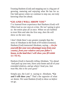Trusting Hashem (God) and stepping out is a big part of growing, maturing and enjoying what He has for us. Our faith grows when we continue to step out, not truly knowing what lies ahead.

#### **"GO AND I WILL SHOW YOU"**

I've learned from experience that Hashem (God) will Often lead us *one step at a time.* He isn't going to give us the entire plan all at once. When we are faithful to trust Him and take the first step, *then* He will show us the next step.

I don't think there's any greater example than the story of Abraham in the book of B'reishit (Genesis). Hashem (God) instructed Abraham, saying, *…Go for yourself [for your own advantage] away from your country, from your relatives and your father's house, to the land that I will show you* **(B'reishit 12:1 TLV).**

Hashem (God) is basically telling Abraham, "Go ahead And pack up your tent, leave your home and all of your extended relatives, and go where I lead you. Just trust Me; this is for your good."

Simply put, the Lord is saying to Abraham, **"Go and I will show you."** That's the opposite of what *we* desire. We want Hashem (God) to show us *before*  we go.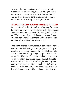However, the Lord wants us to take a step of faith. When we take the first step, then He will give us the next step. As we continue to trust Hashem (God) *step-by-step*, then our confidence grows because we realize He is leading us to a good place.

#### **STEP INTO THE GOOD THINGS AHEAD**

As I mentioned earlier, it has been a big step for me in the past three years to prepare the ministry for a change and move on to the next level. Hashem (God) said to me, "This season of your life is complete, and I'm done with you here, you need to move and be aligned with the International Messianic Movement."

I had many friends and I was really comfortable here. I was also afraid of taking a wrong step and making a mistake. In the end, it took me three and half years to finally move. Yes, things are going quite well where we are. But Hashem (God) knows what he has in store for us, He knows that things can go much better. He planned to fulfill the vision he had placed in my heart many years ago... the vision of teaching His Word to people all over the world, in the right place. But it all depended on my trust in Him and taking the first step.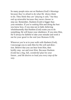So many people miss out on Hashem (God)'s blessings because they're afraid to do what He shows them to do. They think they are "playing it safe," but they end up miserable because they never choose to step out. Remember, Hashem (God) is bigger than your mistakes. If you're seeking Him and doing the best you know how, if you step out in faith, believing wholeheartedly that Hashem (God) wants you to do something, He will honor your obedience. If you miss Him, He'll always be faithful to take your mistake and work it out for your good in the end (see Romans 8:28).

Wherever you're at in your walk with Hashem (God), I encourage you to seek Him for His will and direction. Believe that you can hear from Him, then boldly step out and trust Him. Because Hashem (God) has a big, full, *wonderful* plan for your future...*and He desires to lead you every step of the way*.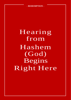#### **- REDEMPTION -**

Hearing from Hashem (God) Begins Right Here

**51**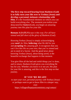**The first step toward hearing from Hashem (God) is to fully turn your life over to Yeshua (Jesus) and develop a personal, intimate relationship with Him.** It's the foundational element on which you can build everything else. The moment you realize your deep need for Hashem (God), you begin an amazing journey into His plan for your life.

**Romans 3:23 (TLV)** says it this way: *For all have sinned and fall short of the glory of Hashem (God).*

*Knowing Yeshua (Jesus)* is simply acknowledging your **need** *for* Him, **believing** what He did for you and **accepting** His amazing gift. It recognizes that you can't live this life on your own, that you've sinned and are in need of a Savior. And the good news about knowing Yeshua (Jesus), about being saved, is the beautiful exchange that happens in that moment.

You give Him all the bad and sinful things you've done, and in return, Hashem (God) gives you everything He has for you. Whether you know it or not yet, His plan for your life is amazing, and this is the first step on that journey.

#### **IF YOU'RE READY**

*to start your own, personal journey with Yeshua (Jesus) or perhaps want to get to know Him in a deeper way, visit:*

<https://villageofhopejusticeministry.org/contact/>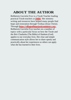## **ABOUT THE AUTHOR**

Rebbetzin Gavriela Frye is a Torah Teacher leading practical Torah teachers at **[IMBI](https://villageofhopejusticeministry.org/italian-messianic-bible-institute-istituto-messianico-biblico-italiano/)**. Her ministry writing and resources have helped many people find hope and restoration through Yeshua (Jesus Christ). Through **[https://villageofhopejusticeministry.org](https://villageofhopejusticeministry.org/)** , Rebbetzin Gavriela Frye teaches on a number of topics with a particular focus on how the Torah and the Brit Chadasha (The Bible) of Hashem (God) applies to our everyday lives. Her clear and simple communication style allows her to share openly and practically about her experiences so others can apply what she has learned to their lives.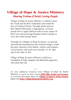## **Village of Hope & Justice Ministry** *Sharing Yeshua (Christ) Loving People*

*Village of Hope & Justice Ministry* is called to share the Torah and the Brit Chadashah and extend the love of Yeshua (Christ). Through media and our Beit Shalom Messianic Congregation, we teach people how to apply biblical truth to every aspect of their lives and encourage Hashem (God)'s people to serve the world around them.

Through our Villages of Hope & Justice, we provide international humanitarian aid, feed the hungry, clothe the poor, minister to the elderly, widows and orphans, visit prisoners and reach out to people of all ages and in all walks of life.

*Village of Hope & Justice Ministry* is built on a foundation of faith, integrity and dedicated supporters who share this call.

To view additional resources from *Village of Hope & Justice Ministry,* to watch our most current *[IMBI Bible Studies and Sermons](https://villageofhopejusticeministry.org/italian-messianic-bible-institute-istituto-messianico-biblico-italiano/)*, or to receive information about our **[Villages of Hope & Justice Project](https://villageofhopejusticeministry.org/village-of-hope-and-justice-ministry-tel-aviv-project-the-rose-of-sharon/)***,*  please visit **[https://villageofhopejusticeministry.org](https://villageofhopejusticeministry.org/)**